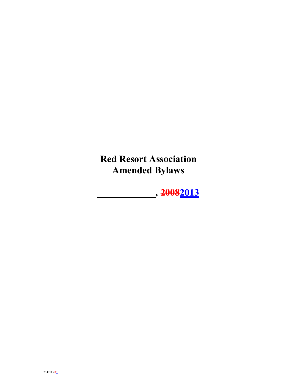**Red Resort Association Amended Bylaws**

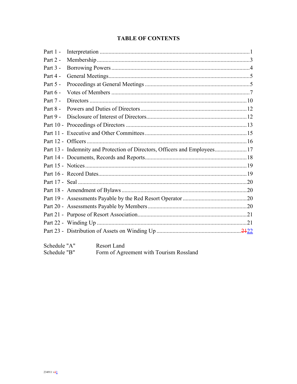# **TABLE OF CONTENTS**

| Part 1 -     |                                                                           |  |
|--------------|---------------------------------------------------------------------------|--|
| Part 2 -     |                                                                           |  |
| Part 3 -     |                                                                           |  |
| Part 4 -     |                                                                           |  |
| Part $5 -$   |                                                                           |  |
| Part $6 -$   |                                                                           |  |
| Part 7 -     |                                                                           |  |
| Part 8 -     |                                                                           |  |
| Part $9 -$   |                                                                           |  |
|              |                                                                           |  |
|              |                                                                           |  |
|              |                                                                           |  |
|              | Part 13 - Indemnity and Protection of Directors, Officers and Employees17 |  |
|              |                                                                           |  |
|              |                                                                           |  |
|              |                                                                           |  |
|              |                                                                           |  |
|              |                                                                           |  |
|              |                                                                           |  |
|              |                                                                           |  |
|              |                                                                           |  |
|              |                                                                           |  |
|              |                                                                           |  |
| Schedule "A" | <b>Resort Land</b>                                                        |  |

Form of Agreement with Tourism Rossland Schedule "B"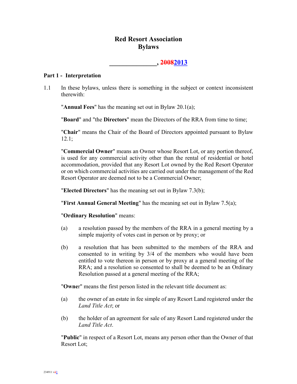# **Red Resort Association Bylaws**

### **\_\_\_\_\_\_\_\_\_\_\_\_\_\_, 20082013**

### **Part 1 - Interpretation**

1.1 In these bylaws, unless there is something in the subject or context inconsistent therewith:

"**Annual Fees**" has the meaning set out in Bylaw 20.1(a);

"**Board**" and "the **Directors**" mean the Directors of the RRA from time to time;

"**Chair**" means the Chair of the Board of Directors appointed pursuant to Bylaw 12.1;

"**Commercial Owner**" means an Owner whose Resort Lot, or any portion thereof, is used for any commercial activity other than the rental of residential or hotel accommodation, provided that any Resort Lot owned by the Red Resort Operator or on which commercial activities are carried out under the management of the Red Resort Operator are deemed not to be a Commercial Owner;

"**Elected Directors**" has the meaning set out in Bylaw 7.3(b);

"**First Annual General Meeting**" has the meaning set out in Bylaw 7.5(a);

### "**Ordinary Resolution**" means:

- (a) a resolution passed by the members of the RRA in a general meeting by a simple majority of votes cast in person or by proxy; or
- (b) a resolution that has been submitted to the members of the RRA and consented to in writing by 3/4 of the members who would have been entitled to vote thereon in person or by proxy at a general meeting of the RRA; and a resolution so consented to shall be deemed to be an Ordinary Resolution passed at a general meeting of the RRA;

"**Owne**r" means the first person listed in the relevant title document as:

- (a) the owner of an estate in fee simple of any Resort Land registered under the *Land Title Act*; or
- (b) the holder of an agreement for sale of any Resort Land registered under the *Land Title Act*.

"**Public**" in respect of a Resort Lot, means any person other than the Owner of that Resort Lot;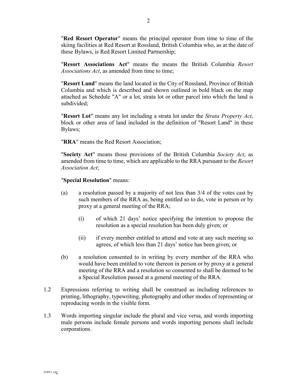"**Red Resort Operator**" means the principal operator from time to time of the skiing facilities at Red Resort at Rossland, British Columbia who, as at the date of these Bylaws, is Red Resort Limited Partnership;

"**Resort Associations Act**" means the means the British Columbia *Resort Associations Act*, as amended from time to time;

"**Resort Land**" means the land located in the City of Rossland, Province of British Columbia and which is described and shown outlined in bold black on the map attached as Schedule "A" or a lot, strata lot or other parcel into which the land is subdivided;

"**Resort Lot**" means any lot including a strata lot under the *Strata Property Act*, block or other area of land included in the definition of "Resort Land" in these Bylaws;

"**RRA**" means the Red Resort Association;

"**Society Act**" means those provisions of the British Columbia *Society Act*, as amended from time to time, which are applicable to the RRA pursuant to the *Resort Association Act*;

"**Special Resolution**" means:

- (a) a resolution passed by a majority of not less than 3/4 of the votes cast by such members of the RRA as, being entitled so to do, vote in person or by proxy at a general meeting of the RRA;
	- (i) of which 21 days' notice specifying the intention to propose the resolution as a special resolution has been duly given; or
	- (ii) if every member entitled to attend and vote at any such meeting so agrees, of which less than 21 days' notice has been given; or
- (b) a resolution consented to in writing by every member of the RRA who would have been entitled to vote thereon in person or by proxy at a general meeting of the RRA and a resolution so consented to shall be deemed to be a Special Resolution passed at a general meeting of the RRA.
- 1.2 Expressions referring to writing shall be construed as including references to printing, lithography, typewriting, photography and other modes of representing or reproducing words in the visible form.
- 1.3 Words importing singular include the plural and vice versa, and words importing male persons include female persons and words importing persons shall include corporations.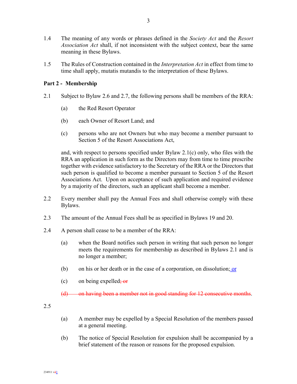- 1.4 The meaning of any words or phrases defined in the *Society Act* and the *Resort Association Act* shall, if not inconsistent with the subject context, bear the same meaning in these Bylaws.
- 1.5 The Rules of Construction contained in the *Interpretation Act* in effect from time to time shall apply, mutatis mutandis to the interpretation of these Bylaws.

### **Part 2 - Membership**

- 2.1 Subject to Bylaw 2.6 and 2.7, the following persons shall be members of the RRA:
	- (a) the Red Resort Operator
	- (b) each Owner of Resort Land; and
	- (c) persons who are not Owners but who may become a member pursuant to Section 5 of the Resort Associations Act,

and, with respect to persons specified under Bylaw 2.1(c) only, who files with the RRA an application in such form as the Directors may from time to time prescribe together with evidence satisfactory to the Secretary of the RRA or the Directors that such person is qualified to become a member pursuant to Section 5 of the Resort Associations Act. Upon on acceptance of such application and required evidence by a majority of the directors, such an applicant shall become a member.

- 2.2 Every member shall pay the Annual Fees and shall otherwise comply with these Bylaws.
- 2.3 The amount of the Annual Fees shall be as specified in Bylaws 19 and 20.
- 2.4 A person shall cease to be a member of the RRA:
	- (a) when the Board notifies such person in writing that such person no longer meets the requirements for membership as described in Bylaws 2.1 and is no longer a member;
	- (b) on his or her death or in the case of a corporation, on dissolution; or
	- (c) on being expelled; or
	- (d) on having been a member not in good standing for 12 consecutive months.

#### 2.5

- (a) A member may be expelled by a Special Resolution of the members passed at a general meeting.
- (b) The notice of Special Resolution for expulsion shall be accompanied by a brief statement of the reason or reasons for the proposed expulsion.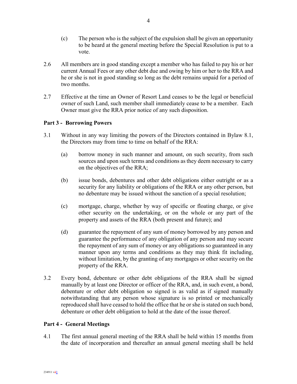- (c) The person who is the subject of the expulsion shall be given an opportunity to be heard at the general meeting before the Special Resolution is put to a vote.
- 2.6 All members are in good standing except a member who has failed to pay his or her current Annual Fees or any other debt due and owing by him or her to the RRA and he or she is not in good standing so long as the debt remains unpaid for a period of two months.
- 2.7 Effective at the time an Owner of Resort Land ceases to be the legal or beneficial owner of such Land, such member shall immediately cease to be a member. Each Owner must give the RRA prior notice of any such disposition.

### **Part 3 - Borrowing Powers**

- 3.1 Without in any way limiting the powers of the Directors contained in Bylaw 8.1, the Directors may from time to time on behalf of the RRA:
	- (a) borrow money in such manner and amount, on such security, from such sources and upon such terms and conditions as they deem necessary to carry on the objectives of the RRA;
	- (b) issue bonds, debentures and other debt obligations either outright or as a security for any liability or obligations of the RRA or any other person, but no debenture may be issued without the sanction of a special resolution;
	- (c) mortgage, charge, whether by way of specific or floating charge, or give other security on the undertaking, or on the whole or any part of the property and assets of the RRA (both present and future); and
	- (d) guarantee the repayment of any sum of money borrowed by any person and guarantee the performance of any obligation of any person and may secure the repayment of any sum of money or any obligations so guaranteed in any manner upon any terms and conditions as they may think fit including, without limitation, by the granting of any mortgages or other security on the property of the RRA.
- 3.2 Every bond, debenture or other debt obligations of the RRA shall be signed manually by at least one Director or officer of the RRA, and, in such event, a bond, debenture or other debt obligation so signed is as valid as if signed manually notwithstanding that any person whose signature is so printed or mechanically reproduced shall have ceased to hold the office that he or she is stated on such bond, debenture or other debt obligation to hold at the date of the issue thereof.

### **Part 4 - General Meetings**

4.1 The first annual general meeting of the RRA shall be held within 15 months from the date of incorporation and thereafter an annual general meeting shall be held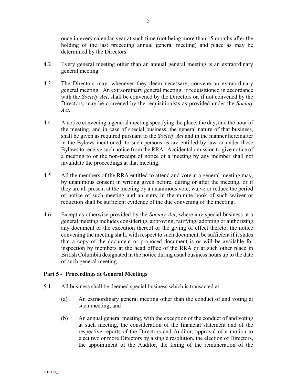once in every calendar year at such time (not being more than 15 months after the holding of the last preceding annual general meeting) and place as may be determined by the Directors.

- 4.2 Every general meeting other than an annual general meeting is an extraordinary general meeting.
- 4.3 The Directors may, whenever they deem necessary, convene an extraordinary general meeting. An extraordinary general meeting, if requisitioned in accordance with the *Society Act*, shall be convened by the Directors or, if not convened by the Directors, may be convened by the requisitionists as provided under the *Society Act*.
- 4.4 A notice convening a general meeting specifying the place, the day, and the hour of the meeting, and in case of special business, the general nature of that business, shall be given as required pursuant to the *Society Act* and in the manner hereinafter in the Bylaws mentioned, to such persons as are entitled by law or under these Bylaws to receive such notice from the RRA. Accidental omission to give notice of a meeting to or the non-receipt of notice of a meeting by any member shall not invalidate the proceedings at that meeting.
- 4.5 All the members of the RRA entitled to attend and vote at a general meeting may, by unanimous consent in writing given before, during or after the meeting, or if they are all present at the meeting by a unanimous vote, waive or reduce the period of notice of such meeting and an entry in the minute book of such waiver or reduction shall be sufficient evidence of the due convening of the meeting.
- 4.6 Except as otherwise provided by the *Society Act*, where any special business at a general meeting includes considering, approving, ratifying, adopting or authorizing any document or the execution thereof or the giving of effect thereto, the notice convening the meeting shall, with respect to such document, be sufficient if it states that a copy of the document or proposed document is or will be available for inspection by members at the head office of the RRA or at such other place in British Columbia designated in the notice during usual business hours up to the date of such general meeting.

### **Part 5 - Proceedings at General Meetings**

- 5.1 All business shall be deemed special business which is transacted at:
	- (a) An extraordinary general meeting other than the conduct of and voting at such meeting; and
	- (b) An annual general meeting, with the exception of the conduct of and voting at such meeting, the consideration of the financial statement and of the respective reports of the Directors and Auditor, approval of a motion to elect two or more Directors by a single resolution, the election of Directors, the appointment of the Auditor, the fixing of the remuneration of the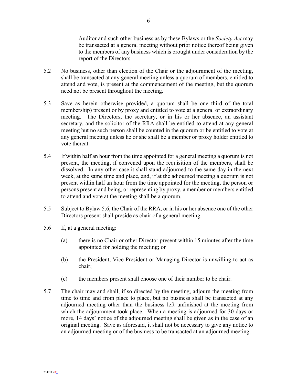Auditor and such other business as by these Bylaws or the *Society Act* may be transacted at a general meeting without prior notice thereof being given to the members of any business which is brought under consideration by the report of the Directors.

- 5.2 No business, other than election of the Chair or the adjournment of the meeting, shall be transacted at any general meeting unless a quorum of members, entitled to attend and vote, is present at the commencement of the meeting, but the quorum need not be present throughout the meeting.
- 5.3 Save as herein otherwise provided, a quorum shall be one third of the total membership) present or by proxy and entitled to vote at a general or extraordinary meeting. The Directors, the secretary, or in his or her absence, an assistant secretary, and the solicitor of the RRA shall be entitled to attend at any general meeting but no such person shall be counted in the quorum or be entitled to vote at any general meeting unless he or she shall be a member or proxy holder entitled to vote thereat.
- 5.4 If within half an hour from the time appointed for a general meeting a quorum is not present, the meeting, if convened upon the requisition of the members, shall be dissolved. In any other case it shall stand adjourned to the same day in the next week, at the same time and place, and, if at the adjourned meeting a quorum is not present within half an hour from the time appointed for the meeting, the person or persons present and being, or representing by proxy, a member or members entitled to attend and vote at the meeting shall be a quorum.
- 5.5 Subject to Bylaw 5.6, the Chair of the RRA, or in his or her absence one of the other Directors present shall preside as chair of a general meeting.
- 5.6 If, at a general meeting:
	- (a) there is no Chair or other Director present within 15 minutes after the time appointed for holding the meeting; or
	- (b) the President, Vice-President or Managing Director is unwilling to act as chair;
	- (c) the members present shall choose one of their number to be chair.
- 5.7 The chair may and shall, if so directed by the meeting, adjourn the meeting from time to time and from place to place, but no business shall be transacted at any adjourned meeting other than the business left unfinished at the meeting from which the adjournment took place. When a meeting is adjourned for 30 days or more, 14 days' notice of the adjourned meeting shall be given as in the case of an original meeting. Save as aforesaid, it shall not be necessary to give any notice to an adjourned meeting or of the business to be transacted at an adjourned meeting.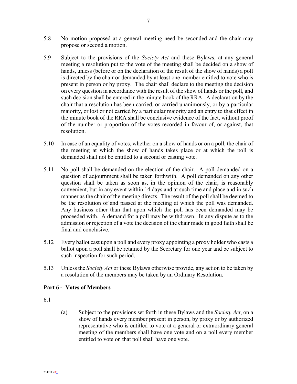- 5.8 No motion proposed at a general meeting need be seconded and the chair may propose or second a motion.
- 5.9 Subject to the provisions of the *Society Act* and these Bylaws, at any general meeting a resolution put to the vote of the meeting shall be decided on a show of hands, unless (before or on the declaration of the result of the show of hands) a poll is directed by the chair or demanded by at least one member entitled to vote who is present in person or by proxy. The chair shall declare to the meeting the decision on every question in accordance with the result of the show of hands or the poll, and such decision shall be entered in the minute book of the RRA. A declaration by the chair that a resolution has been carried, or carried unanimously, or by a particular majority, or lost or not carried by a particular majority and an entry to that effect in the minute book of the RRA shall be conclusive evidence of the fact, without proof of the number or proportion of the votes recorded in favour of, or against, that resolution.
- 5.10 In case of an equality of votes, whether on a show of hands or on a poll, the chair of the meeting at which the show of hands takes place or at which the poll is demanded shall not be entitled to a second or casting vote.
- 5.11 No poll shall be demanded on the election of the chair. A poll demanded on a question of adjournment shall be taken forthwith. A poll demanded on any other question shall be taken as soon as, in the opinion of the chair, is reasonably convenient, but in any event within 14 days and at such time and place and in such manner as the chair of the meeting directs. The result of the poll shall be deemed to be the resolution of and passed at the meeting at which the poll was demanded. Any business other than that upon which the poll has been demanded may be proceeded with. A demand for a poll may be withdrawn. In any dispute as to the admission or rejection of a vote the decision of the chair made in good faith shall be final and conclusive.
- 5.12 Every ballot cast upon a poll and every proxy appointing a proxy holder who casts a ballot upon a poll shall be retained by the Secretary for one year and be subject to such inspection for such period.
- 5.13 Unless the *Society Act* or these Bylaws otherwise provide, any action to be taken by a resolution of the members may be taken by an Ordinary Resolution.

### **Part 6 - Votes of Members**

6.1

(a) Subject to the provisions set forth in these Bylaws and the *Society Act*, on a show of hands every member present in person, by proxy or by authorized representative who is entitled to vote at a general or extraordinary general meeting of the members shall have one vote and on a poll every member entitled to vote on that poll shall have one vote.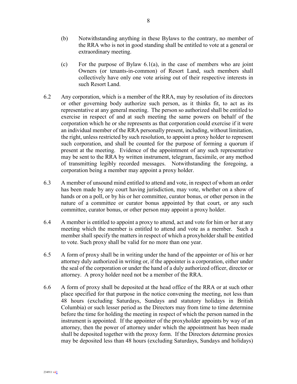- (b) Notwithstanding anything in these Bylaws to the contrary, no member of the RRA who is not in good standing shall be entitled to vote at a general or extraordinary meeting.
- (c) For the purpose of Bylaw  $6.1(a)$ , in the case of members who are joint Owners (or tenants-in-common) of Resort Land, such members shall collectively have only one vote arising out of their respective interests in such Resort Land.
- 6.2 Any corporation, which is a member of the RRA, may by resolution of its directors or other governing body authorize such person, as it thinks fit, to act as its representative at any general meeting. The person so authorized shall be entitled to exercise in respect of and at such meeting the same powers on behalf of the corporation which he or she represents as that corporation could exercise if it were an individual member of the RRA personally present, including, without limitation, the right, unless restricted by such resolution, to appoint a proxy holder to represent such corporation, and shall be counted for the purpose of forming a quorum if present at the meeting. Evidence of the appointment of any such representative may be sent to the RRA by written instrument, telegram, facsimile, or any method of transmitting legibly recorded messages. Notwithstanding the foregoing, a corporation being a member may appoint a proxy holder.
- 6.3 A member of unsound mind entitled to attend and vote, in respect of whom an order has been made by any court having jurisdiction, may vote, whether on a show of hands or on a poll, or by his or her committee, curator bonus, or other person in the nature of a committee or curator bonus appointed by that court, or any such committee, curator bonus, or other person may appoint a proxy holder.
- 6.4 A member is entitled to appoint a proxy to attend, act and vote for him or her at any meeting which the member is entitled to attend and vote as a member. Such a member shall specify the matters in respect of which a proxyholder shall be entitled to vote. Such proxy shall be valid for no more than one year.
- 6.5 A form of proxy shall be in writing under the hand of the appointer or of his or her attorney duly authorized in writing or, if the appointer is a corporation, either under the seal of the corporation or under the hand of a duly authorized officer, director or attorney. A proxy holder need not be a member of the RRA.
- 6.6 A form of proxy shall be deposited at the head office of the RRA or at such other place specified for that purpose in the notice convening the meeting, not less than 48 hours (excluding Saturdays, Sundays and statutory holidays in British Columbia) or such lesser period as the Directors may from time to time determine before the time for holding the meeting in respect of which the person named in the instrument is appointed. If the appointer of the proxyholder appoints by way of an attorney, then the power of attorney under which the appointment has been made shall be deposited together with the proxy form. If the Directors determine proxies may be deposited less than 48 hours (excluding Saturdays, Sundays and holidays)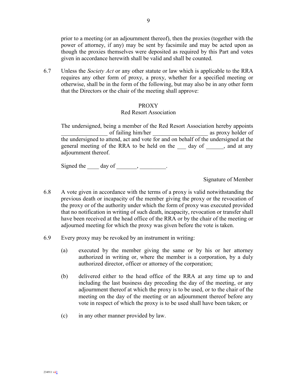prior to a meeting (or an adjournment thereof), then the proxies (together with the power of attorney, if any) may be sent by facsimile and may be acted upon as though the proxies themselves were deposited as required by this Part and votes given in accordance herewith shall be valid and shall be counted.

6.7 Unless the *Society Act* or any other statute or law which is applicable to the RRA requires any other form of proxy, a proxy, whether for a specified meeting or otherwise, shall be in the form of the following, but may also be in any other form that the Directors or the chair of the meeting shall approve:

#### PROXY

#### Red Resort Association

The undersigned, being a member of the Red Resort Association hereby appoints \_\_\_\_\_\_\_\_\_\_\_\_\_\_\_\_ of failing him/her \_\_\_\_\_\_\_\_\_\_\_\_\_\_\_\_\_\_\_ as proxy holder of the undersigned to attend, act and vote for and on behalf of the undersigned at the general meeting of the RRA to be held on the \_\_\_ day of \_\_\_\_\_, and at any adjournment thereof.

Signed the  $\qquad \text{day of} \qquad \qquad$ 

Signature of Member

- 6.8 A vote given in accordance with the terms of a proxy is valid notwithstanding the previous death or incapacity of the member giving the proxy or the revocation of the proxy or of the authority under which the form of proxy was executed provided that no notification in writing of such death, incapacity, revocation or transfer shall have been received at the head office of the RRA or by the chair of the meeting or adjourned meeting for which the proxy was given before the vote is taken.
- 6.9 Every proxy may be revoked by an instrument in writing:
	- (a) executed by the member giving the same or by his or her attorney authorized in writing or, where the member is a corporation, by a duly authorized director, officer or attorney of the corporation;
	- (b) delivered either to the head office of the RRA at any time up to and including the last business day preceding the day of the meeting, or any adjournment thereof at which the proxy is to be used, or to the chair of the meeting on the day of the meeting or an adjournment thereof before any vote in respect of which the proxy is to be used shall have been taken; or
	- (c) in any other manner provided by law.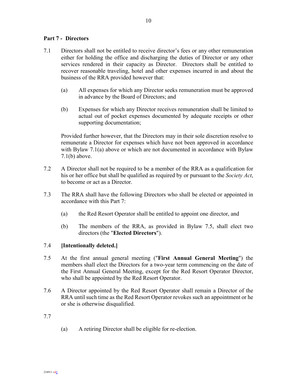### **Part 7 - Directors**

- 7.1 Directors shall not be entitled to receive director's fees or any other remuneration either for holding the office and discharging the duties of Director or any other services rendered in their capacity as Director. Directors shall be entitled to recover reasonable traveling, hotel and other expenses incurred in and about the business of the RRA provided however that:
	- (a) All expenses for which any Director seeks remuneration must be approved in advance by the Board of Directors; and
	- (b) Expenses for which any Director receives remuneration shall be limited to actual out of pocket expenses documented by adequate receipts or other supporting documentation;

Provided further however, that the Directors may in their sole discretion resolve to remunerate a Director for expenses which have not been approved in accordance with Bylaw 7.1(a) above or which are not documented in accordance with Bylaw 7.1(b) above.

- 7.2 A Director shall not be required to be a member of the RRA as a qualification for his or her office but shall be qualified as required by or pursuant to the *Society Act*, to become or act as a Director.
- 7.3 The RRA shall have the following Directors who shall be elected or appointed in accordance with this Part 7:
	- (a) the Red Resort Operator shall be entitled to appoint one director, and
	- (b) The members of the RRA, as provided in Bylaw 7.5, shall elect two directors (the "**Elected Directors**").

### 7.4 **[Intentionally deleted.]**

- 7.5 At the first annual general meeting ("**First Annual General Meeting**") the members shall elect the Directors for a two-year term commencing on the date of the First Annual General Meeting, except for the Red Resort Operator Director, who shall be appointed by the Red Resort Operator.
- 7.6 A Director appointed by the Red Resort Operator shall remain a Director of the RRA until such time as the Red Resort Operator revokes such an appointment or he or she is otherwise disqualified.
- 7.7
- (a) A retiring Director shall be eligible for re-election.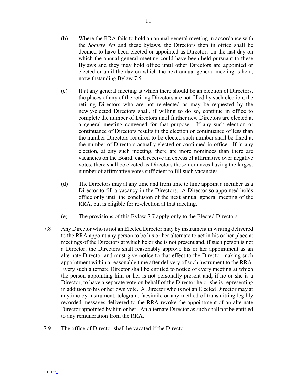- (b) Where the RRA fails to hold an annual general meeting in accordance with the *Society Act* and these bylaws, the Directors then in office shall be deemed to have been elected or appointed as Directors on the last day on which the annual general meeting could have been held pursuant to these Bylaws and they may hold office until other Directors are appointed or elected or until the day on which the next annual general meeting is held, notwithstanding Bylaw 7.5.
- (c) If at any general meeting at which there should be an election of Directors, the places of any of the retiring Directors are not filled by such election, the retiring Directors who are not re-elected as may be requested by the newly-elected Directors shall, if willing to do so, continue in office to complete the number of Directors until further new Directors are elected at a general meeting convened for that purpose. If any such election or continuance of Directors results in the election or continuance of less than the number Directors required to be elected such number shall be fixed at the number of Directors actually elected or continued in office. If in any election, at any such meeting, there are more nominees than there are vacancies on the Board, each receive an excess of affirmative over negative votes, there shall be elected as Directors those nominees having the largest number of affirmative votes sufficient to fill such vacancies.
- (d) The Directors may at any time and from time to time appoint a member as a Director to fill a vacancy in the Directors. A Director so appointed holds office only until the conclusion of the next annual general meeting of the RRA, but is eligible for re-election at that meeting.
- (e) The provisions of this Bylaw 7.7 apply only to the Elected Directors.
- 7.8 Any Director who is not an Elected Director may by instrument in writing delivered to the RRA appoint any person to be his or her alternate to act in his or her place at meetings of the Directors at which he or she is not present and, if such person is not a Director, the Directors shall reasonably approve his or her appointment as an alternate Director and must give notice to that effect to the Director making such appointment within a reasonable time after delivery of such instrument to the RRA. Every such alternate Director shall be entitled to notice of every meeting at which the person appointing him or her is not personally present and, if he or she is a Director, to have a separate vote on behalf of the Director he or she is representing in addition to his or her own vote. A Director who is not an Elected Director may at anytime by instrument, telegram, facsimile or any method of transmitting legibly recorded messages delivered to the RRA revoke the appointment of an alternate Director appointed by him or her. An alternate Director as such shall not be entitled to any remuneration from the RRA.
- 7.9 The office of Director shall be vacated if the Director: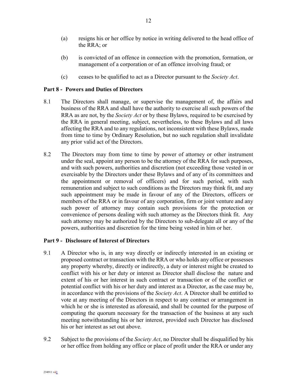- (a) resigns his or her office by notice in writing delivered to the head office of the RRA; or
- (b) is convicted of an offence in connection with the promotion, formation, or management of a corporation or of an offence involving fraud; or
- (c) ceases to be qualified to act as a Director pursuant to the *Society Act*.

#### **Part 8 - Powers and Duties of Directors**

- 8.1 The Directors shall manage, or supervise the management of, the affairs and business of the RRA and shall have the authority to exercise all such powers of the RRA as are not, by the *Society Act* or by these Bylaws, required to be exercised by the RRA in general meeting, subject, nevertheless, to these Bylaws and all laws affecting the RRA and to any regulations, not inconsistent with these Bylaws, made from time to time by Ordinary Resolution, but no such regulation shall invalidate any prior valid act of the Directors.
- 8.2 The Directors may from time to time by power of attorney or other instrument under the seal, appoint any person to be the attorney of the RRA for such purposes, and with such powers, authorities and discretion (not exceeding those vested in or exercisable by the Directors under these Bylaws and of any of its committees and the appointment or removal of officers) and for such period, with such remuneration and subject to such conditions as the Directors may think fit, and any such appointment may be made in favour of any of the Directors, officers or members of the RRA or in favour of any corporation, firm or joint venture and any such power of attorney may contain such provisions for the protection or convenience of persons dealing with such attorney as the Directors think fit. Any such attorney may be authorized by the Directors to sub-delegate all or any of the powers, authorities and discretion for the time being vested in him or her.

#### **Part 9 - Disclosure of Interest of Directors**

- 9.1 A Director who is, in any way directly or indirectly interested in an existing or proposed contract or transaction with the RRA or who holds any office or possesses any property whereby, directly or indirectly, a duty or interest might be created to conflict with his or her duty or interest as Director shall disclose the nature and extent of his or her interest in such contract or transaction or of the conflict or potential conflict with his or her duty and interest as a Director, as the case may be, in accordance with the provisions of the *Society Act*. A Director shall be entitled to vote at any meeting of the Directors in respect to any contract or arrangement in which he or she is interested as aforesaid, and shall be counted for the purpose of computing the quorum necessary for the transaction of the business at any such meeting notwithstanding his or her interest, provided such Director has disclosed his or her interest as set out above.
- 9.2 Subject to the provisions of the *Society Act*, no Director shall be disqualified by his or her office from holding any office or place of profit under the RRA or under any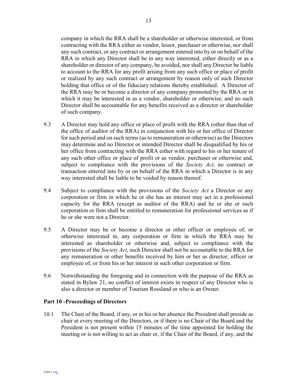company in which the RRA shall be a shareholder or otherwise interested, or from contracting with the RRA either as vendor, lessor, purchaser or otherwise, nor shall any such contract, or any contract or arrangement entered into by or on behalf of the RRA in which any Director shall be in any way interested, either directly or as a shareholder or director of any company, be avoided, nor shall any Director be liable to account to the RRA for any profit arising from any such office or place of profit or realized by any such contract or arrangement by reason only of such Director holding that office or of the fiduciary relations thereby established. A Director of the RRA may be or become a director of any company promoted by the RRA or in which it may be interested in as a vendor, shareholder or otherwise, and no such Director shall be accountable for any benefits received as a director or shareholder of such company.

- 9.3 A Director may hold any office or place of profit with the RRA (other than that of the office of auditor of the RRA) in conjunction with his or her office of Director for such period and on such terms (as to remuneration or otherwise) as the Directors may determine and no Director or intended Director shall be disqualified by his or her office from contracting with the RRA either with regard to his or her tenure of any such other office or place of profit or as vendor, purchaser or otherwise and, subject to compliance with the provisions of the *Society Act*, no contract or transaction entered into by or on behalf of the RRA in which a Director is in any way interested shall be liable to be voided by reason thereof.
- 9.4 Subject to compliance with the provisions of the *Society Act* a Director or any corporation or firm in which he or she has an interest may act in a professional capacity for the RRA (except as auditor of the RRA) and he or she or such corporation or firm shall be entitled to remuneration for professional services as if he or she were not a Director.
- 9.5 A Director may be or become a director or other officer or employee of, or otherwise interested in, any corporation or firm in which the RRA may be interested as shareholder or otherwise and, subject to compliance with the provisions of the *Society Act*, such Director shall not be accountable to the RRA for any remuneration or other benefits received by him or her as director, officer or employee of, or from his or her interest in such other corporation or firm.
- 9.6 Notwithstanding the foregoing and in connection with the purpose of the RRA as stated in Bylaw 21, no conflict of interest exists in respect of any Director who is also a director or member of Tourism Rossland or who is an Owner.

#### **Part 10 -Proceedings of Directors**

10.1 The Chair of the Board, if any, or in his or her absence the President shall preside as chair at every meeting of the Directors, or if there is no Chair of the Board and the President is not present within 15 minutes of the time appointed for holding the meeting or is not willing to act as chair or, if the Chair of the Board, if any, and the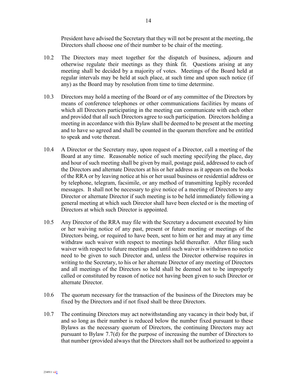President have advised the Secretary that they will not be present at the meeting, the Directors shall choose one of their number to be chair of the meeting.

- 10.2 The Directors may meet together for the dispatch of business, adjourn and otherwise regulate their meetings as they think fit. Questions arising at any meeting shall be decided by a majority of votes. Meetings of the Board held at regular intervals may be held at such place, at such time and upon such notice (if any) as the Board may by resolution from time to time determine.
- 10.3 Directors may hold a meeting of the Board or of any committee of the Directors by means of conference telephones or other communications facilities by means of which all Directors participating in the meeting can communicate with each other and provided that all such Directors agree to such participation. Directors holding a meeting in accordance with this Bylaw shall be deemed to be present at the meeting and to have so agreed and shall be counted in the quorum therefore and be entitled to speak and vote thereat.
- 10.4 A Director or the Secretary may, upon request of a Director, call a meeting of the Board at any time. Reasonable notice of such meeting specifying the place, day and hour of such meeting shall be given by mail, postage paid, addressed to each of the Directors and alternate Directors at his or her address as it appears on the books of the RRA or by leaving notice at his or her usual business or residential address or by telephone, telegram, facsimile, or any method of transmitting legibly recorded messages. It shall not be necessary to give notice of a meeting of Directors to any Director or alternate Director if such meeting is to be held immediately following a general meeting at which such Director shall have been elected or is the meeting of Directors at which such Director is appointed.
- 10.5 Any Director of the RRA may file with the Secretary a document executed by him or her waiving notice of any past, present or future meeting or meetings of the Directors being, or required to have been, sent to him or her and may at any time withdraw such waiver with respect to meetings held thereafter. After filing such waiver with respect to future meetings and until such waiver is withdrawn no notice need to be given to such Director and, unless the Director otherwise requires in writing to the Secretary, to his or her alternate Director of any meeting of Directors and all meetings of the Directors so held shall be deemed not to be improperly called or constituted by reason of notice not having been given to such Director or alternate Director.
- 10.6 The quorum necessary for the transaction of the business of the Directors may be fixed by the Directors and if not fixed shall be three Directors.
- 10.7 The continuing Directors may act notwithstanding any vacancy in their body but, if and so long as their number is reduced below the number fixed pursuant to these Bylaws as the necessary quorum of Directors, the continuing Directors may act pursuant to Bylaw 7.7(d) for the purpose of increasing the number of Directors to that number (provided always that the Directors shall not be authorized to appoint a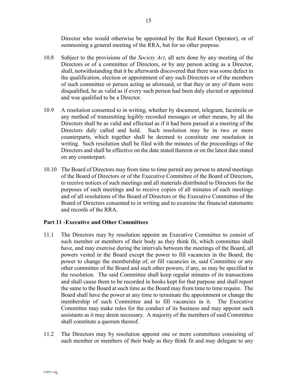Director who would otherwise be appointed by the Red Resort Operator), or of summoning a general meeting of the RRA, but for no other purpose.

- 10.8 Subject to the provisions of the *Society Act*, all acts done by any meeting of the Directors or of a committee of Directors, or by any person acting as a Director, shall, notwithstanding that it be afterwards discovered that there was some defect in the qualification, election or appointment of any such Directors or of the members of such committee or person acting as aforesaid, or that they or any of them were disqualified, be as valid as if every such person had been duly elected or appointed and was qualified to be a Director.
- 10.9 A resolution consented to in writing, whether by document, telegram, facsimile or any method of transmitting legibly recorded messages or other means, by all the Directors shall be as valid and effectual as if it had been passed at a meeting of the Directors duly called and held. Such resolution may be in two or more counterparts, which together shall be deemed to constitute one resolution in writing. Such resolution shall be filed with the minutes of the proceedings of the Directors and shall be effective on the date stated thereon or on the latest date stated on any counterpart.
- 10.10 The Board of Directors may from time to time permit any person to attend meetings of the Board of Directors or of the Executive Committee of the Board of Directors, to receive notices of such meetings and all materials distributed to Directors for the purposes of such meetings and to receive copies of all minutes of such meetings and of all resolutions of the Board of Directors or the Executive Committee of the Board of Directors consented to in writing and to examine the financial statements and records of the RRA

### **Part 11 -Executive and Other Committees**

- 11.1 The Directors may by resolution appoint an Executive Committee to consist of such member or members of their body as they think fit, which committee shall have, and may exercise during the intervals between the meetings of the Board, all powers vested in the Board except the power to fill vacancies in the Board, the power to change the membership of, or fill vacancies in, said Committee or any other committee of the Board and such other powers, if any, as may be specified in the resolution. The said Committee shall keep regular minutes of its transactions and shall cause them to be recorded in books kept for that purpose and shall report the same to the Board at such time as the Board may from time to time require. The Board shall have the power at any time to terminate the appointment or change the membership of such Committee and to fill vacancies in it. The Executive Committee may make rules for the conduct of its business and may appoint such assistants as it may deem necessary. A majority of the members of said Committee shall constitute a quorum thereof.
- 11.2 The Directors may by resolution appoint one or more committees consisting of such member or members of their body as they think fit and may delegate to any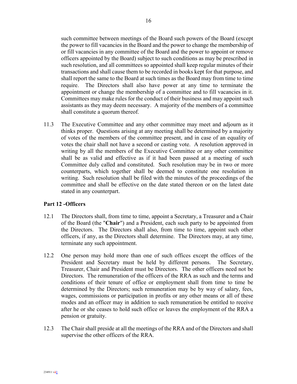such committee between meetings of the Board such powers of the Board (except the power to fill vacancies in the Board and the power to change the membership of or fill vacancies in any committee of the Board and the power to appoint or remove officers appointed by the Board) subject to such conditions as may be prescribed in such resolution, and all committees so appointed shall keep regular minutes of their transactions and shall cause them to be recorded in books kept for that purpose, and shall report the same to the Board at such times as the Board may from time to time require. The Directors shall also have power at any time to terminate the appointment or change the membership of a committee and to fill vacancies in it. Committees may make rules for the conduct of their business and may appoint such assistants as they may deem necessary. A majority of the members of a committee shall constitute a quorum thereof.

11.3 The Executive Committee and any other committee may meet and adjourn as it thinks proper. Questions arising at any meeting shall be determined by a majority of votes of the members of the committee present, and in case of an equality of votes the chair shall not have a second or casting vote. A resolution approved in writing by all the members of the Executive Committee or any other committee shall be as valid and effective as if it had been passed at a meeting of such Committee duly called and constituted. Such resolution may be in two or more counterparts, which together shall be deemed to constitute one resolution in writing. Such resolution shall be filed with the minutes of the proceedings of the committee and shall be effective on the date stated thereon or on the latest date stated in any counterpart.

### **Part 12 -Officers**

- 12.1 The Directors shall, from time to time, appoint a Secretary, a Treasurer and a Chair of the Board (the "**Chair**") and a President, each such party to be appointed from the Directors. The Directors shall also, from time to time, appoint such other officers, if any, as the Directors shall determine. The Directors may, at any time, terminate any such appointment.
- 12.2 One person may hold more than one of such offices except the offices of the President and Secretary must be held by different persons. The Secretary, Treasurer, Chair and President must be Directors. The other officers need not be Directors. The remuneration of the officers of the RRA as such and the terms and conditions of their tenure of office or employment shall from time to time be determined by the Directors; such remuneration may be by way of salary, fees, wages, commissions or participation in profits or any other means or all of these modes and an officer may in addition to such remuneration be entitled to receive after he or she ceases to hold such office or leaves the employment of the RRA a pension or gratuity.
- 12.3 The Chair shall preside at all the meetings of the RRA and of the Directors and shall supervise the other officers of the RRA.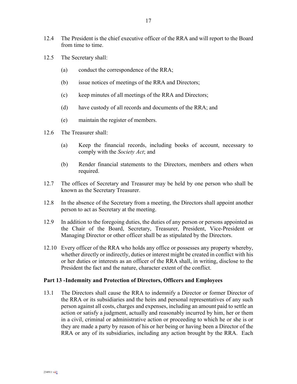- 12.4 The President is the chief executive officer of the RRA and will report to the Board from time to time.
- 12.5 The Secretary shall:
	- (a) conduct the correspondence of the RRA;
	- (b) issue notices of meetings of the RRA and Directors;
	- (c) keep minutes of all meetings of the RRA and Directors;
	- (d) have custody of all records and documents of the RRA; and
	- (e) maintain the register of members.
- 12.6 The Treasurer shall:
	- (a) Keep the financial records, including books of account, necessary to comply with the *Society Act*; and
	- (b) Render financial statements to the Directors, members and others when required.
- 12.7 The offices of Secretary and Treasurer may be held by one person who shall be known as the Secretary Treasurer.
- 12.8 In the absence of the Secretary from a meeting, the Directors shall appoint another person to act as Secretary at the meeting.
- 12.9 In addition to the foregoing duties, the duties of any person or persons appointed as the Chair of the Board, Secretary, Treasurer, President, Vice-President or Managing Director or other officer shall be as stipulated by the Directors.
- 12.10 Every officer of the RRA who holds any office or possesses any property whereby, whether directly or indirectly, duties or interest might be created in conflict with his or her duties or interests as an officer of the RRA shall, in writing, disclose to the President the fact and the nature, character extent of the conflict.

#### **Part 13 -Indemnity and Protection of Directors, Officers and Employees**

13.1 The Directors shall cause the RRA to indemnify a Director or former Director of the RRA or its subsidiaries and the heirs and personal representatives of any such person against all costs, charges and expenses, including an amount paid to settle an action or satisfy a judgment, actually and reasonably incurred by him, her or them in a civil, criminal or administrative action or proceeding to which he or she is or they are made a party by reason of his or her being or having been a Director of the RRA or any of its subsidiaries, including any action brought by the RRA. Each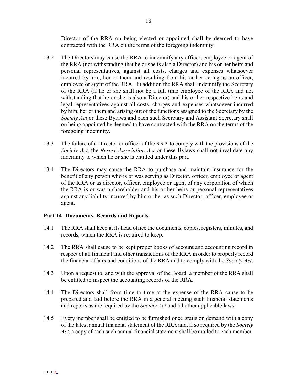Director of the RRA on being elected or appointed shall be deemed to have contracted with the RRA on the terms of the foregoing indemnity.

- 13.2 The Directors may cause the RRA to indemnify any officer, employee or agent of the RRA (not withstanding that he or she is also a Director) and his or her heirs and personal representatives, against all costs, charges and expenses whatsoever incurred by him, her or them and resulting from his or her acting as an officer, employee or agent of the RRA. In addition the RRA shall indemnify the Secretary of the RRA (if he or she shall not be a full time employee of the RRA and not withstanding that he or she is also a Director) and his or her respective heirs and legal representatives against all costs, charges and expenses whatsoever incurred by him, her or them and arising out of the functions assigned to the Secretary by the *Society Act* or these Bylaws and each such Secretary and Assistant Secretary shall on being appointed be deemed to have contracted with the RRA on the terms of the foregoing indemnity.
- 13.3 The failure of a Director or officer of the RRA to comply with the provisions of the *Society Act*, the *Resort Association Act* or these Bylaws shall not invalidate any indemnity to which he or she is entitled under this part.
- 13.4 The Directors may cause the RRA to purchase and maintain insurance for the benefit of any person who is or was serving as Director, officer, employee or agent of the RRA or as director, officer, employee or agent of any corporation of which the RRA is or was a shareholder and his or her heirs or personal representatives against any liability incurred by him or her as such Director, officer, employee or agent.

### **Part 14 -Documents, Records and Reports**

- 14.1 The RRA shall keep at its head office the documents, copies, registers, minutes, and records, which the RRA is required to keep.
- 14.2 The RRA shall cause to be kept proper books of account and accounting record in respect of all financial and other transactions of the RRA in order to properly record the financial affairs and conditions of the RRA and to comply with the *Society Act*.
- 14.3 Upon a request to, and with the approval of the Board, a member of the RRA shall be entitled to inspect the accounting records of the RRA.
- 14.4 The Directors shall from time to time at the expense of the RRA cause to be prepared and laid before the RRA in a general meeting such financial statements and reports as are required by the *Society Act* and all other applicable laws.
- 14.5 Every member shall be entitled to be furnished once gratis on demand with a copy of the latest annual financial statement of the RRA and, if so required by the *Society Act*, a copy of each such annual financial statement shall be mailed to each member.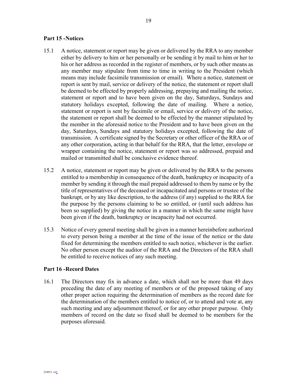#### **Part 15 -Notices**

- 15.1 A notice, statement or report may be given or delivered by the RRA to any member either by delivery to him or her personally or be sending it by mail to him or her to his or her address as recorded in the register of members, or by such other means as any member may stipulate from time to time in writing to the President (which means may include facsimile transmission or email). Where a notice, statement or report is sent by mail, service or delivery of the notice, the statement or report shall be deemed to be effected by properly addressing, prepaying and mailing the notice, statement or report and to have been given on the day, Saturdays, Sundays and statutory holidays excepted, following the date of mailing. Where a notice, statement or report is sent by facsimile or email, service or delivery of the notice, the statement or report shall be deemed to be effected by the manner stipulated by the member in the aforesaid notice to the President and to have been given on the day, Saturdays, Sundays and statutory holidays excepted, following the date of transmission. A certificate signed by the Secretary or other officer of the RRA or of any other corporation, acting in that behalf for the RRA, that the letter, envelope or wrapper containing the notice, statement or report was so addressed, prepaid and mailed or transmitted shall be conclusive evidence thereof.
- 15.2 A notice, statement or report may be given or delivered by the RRA to the persons entitled to a membership in consequence of the death, bankruptcy or incapacity of a member by sending it through the mail prepaid addressed to them by name or by the title of representatives of the deceased or incapacitated and persons or trustee of the bankrupt, or by any like description, to the address (if any) supplied to the RRA for the purpose by the persons claiming to be so entitled, or (until such address has been so supplied) by giving the notice in a manner in which the same might have been given if the death, bankruptcy or incapacity had not occurred.
- 15.3 Notice of every general meeting shall be given in a manner hereinbefore authorized to every person being a member at the time of the issue of the notice or the date fixed for determining the members entitled to such notice, whichever is the earlier. No other person except the auditor of the RRA and the Directors of the RRA shall be entitled to receive notices of any such meeting.

#### **Part 16 -Record Dates**

16.1 The Directors may fix in advance a date, which shall not be more than 49 days preceding the date of any meeting of members or of the proposed taking of any other proper action requiring the determination of members as the record date for the determination of the members entitled to notice of, or to attend and vote at, any such meeting and any adjournment thereof, or for any other proper purpose. Only members of record on the date so fixed shall be deemed to be members for the purposes aforesaid.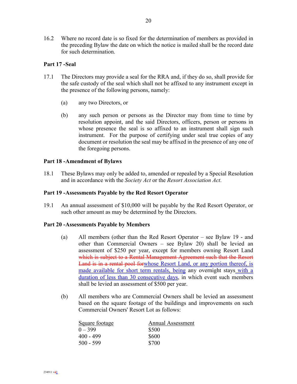16.2 Where no record date is so fixed for the determination of members as provided in the preceding Bylaw the date on which the notice is mailed shall be the record date for such determination.

#### **Part 17 -Seal**

- 17.1 The Directors may provide a seal for the RRA and, if they do so, shall provide for the safe custody of the seal which shall not be affixed to any instrument except in the presence of the following persons, namely:
	- (a) any two Directors, or
	- (b) any such person or persons as the Director may from time to time by resolution appoint, and the said Directors, officers, person or persons in whose presence the seal is so affixed to an instrument shall sign such instrument. For the purpose of certifying under seal true copies of any document or resolution the seal may be affixed in the presence of any one of the foregoing persons.

#### **Part 18 -Amendment of Bylaws**

18.1 These Bylaws may only be added to, amended or repealed by a Special Resolution and in accordance with the *Society Act* or the *Resort Association Act*.

#### **Part 19 -Assessments Payable by the Red Resort Operator**

19.1 An annual assessment of \$10,000 will be payable by the Red Resort Operator, or such other amount as may be determined by the Directors.

#### **Part 20 -Assessments Payable by Members**

- (a) All members (other than the Red Resort Operator see Bylaw 19 and other than Commercial Owners – see Bylaw 20) shall be levied an assessment of \$250 per year, except for members owning Resort Land which is subject to a Rental Management Agreement such that the Resort Land is in a rental pool forwhose Resort Land, or any portion thereof, is made available for short term rentals, being any overnight stays with a duration of less than 30 consecutive days, in which event such members shall be levied an assessment of \$500 per year.
- (b) All members who are Commercial Owners shall be levied an assessment based on the square footage of the buildings and improvements on such Commercial Owners' Resort Lot as follows:

| Square footage | Annual Assessment |
|----------------|-------------------|
| $0 - 399$      | \$500             |
| 400 - 499      | \$600             |
| 500 - 599      | \$700             |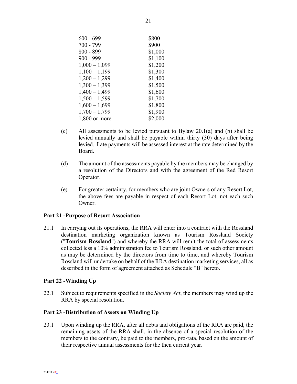| $600 - 699$     | \$800   |
|-----------------|---------|
| 700 - 799       | \$900   |
| 800 - 899       | \$1,000 |
| $900 - 999$     | \$1,100 |
| $1,000 - 1,099$ | \$1,200 |
| $1,100 - 1,199$ | \$1,300 |
| $1,200 - 1,299$ | \$1,400 |
| $1,300 - 1,399$ | \$1,500 |
| $1,400 - 1,499$ | \$1,600 |
| $1,500 - 1,599$ | \$1,700 |
| $1,600 - 1,699$ | \$1,800 |
| $1,700 - 1,799$ | \$1,900 |
| $1,800$ or more | \$2,000 |

- (c) All assessments to be levied pursuant to Bylaw  $20.1(a)$  and (b) shall be levied annually and shall be payable within thirty (30) days after being levied. Late payments will be assessed interest at the rate determined by the Board.
- (d) The amount of the assessments payable by the members may be changed by a resolution of the Directors and with the agreement of the Red Resort Operator.
- (e) For greater certainty, for members who are joint Owners of any Resort Lot, the above fees are payable in respect of each Resort Lot, not each such Owner.

#### **Part 21 -Purpose of Resort Association**

21.1 In carrying out its operations, the RRA will enter into a contract with the Rossland destination marketing organization known as Tourism Rossland Society ("**Tourism Rossland**") and whereby the RRA will remit the total of assessments collected less a 10% administration fee to Tourism Rossland, or such other amount as may be determined by the directors from time to time, and whereby Tourism Rossland will undertake on behalf of the RRA destination marketing services, all as described in the form of agreement attached as Schedule "B" hereto.

### **Part 22 -Winding Up**

22.1 Subject to requirements specified in the *Society Act*, the members may wind up the RRA by special resolution.

### **Part 23 -Distribution of Assets on Winding Up**

23.1 Upon winding up the RRA, after all debts and obligations of the RRA are paid, the remaining assets of the RRA shall, in the absence of a special resolution of the members to the contrary, be paid to the members, pro-rata, based on the amount of their respective annual assessments for the then current year.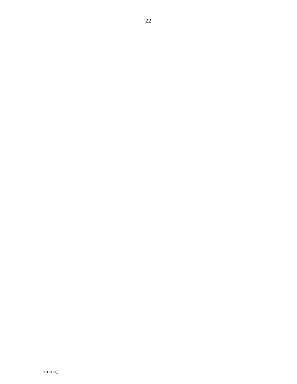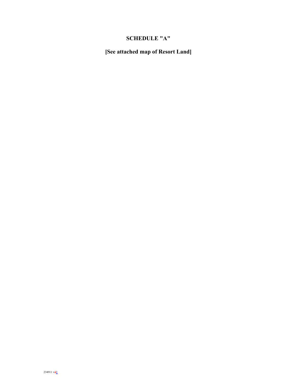## **SCHEDULE "A"**

**[See attached map of Resort Land]**